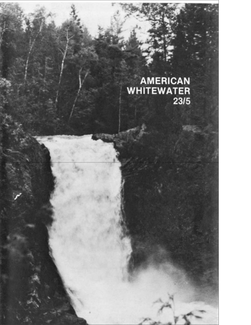# AMERICAN<br>WHITEWATER<br>23/5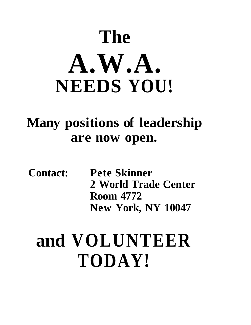# **The A.W.A. NEEDS YOU!**

### **Many positions of leadership are now open.**

**Contact: Pete Skinner 2 World Trade Center Room 4772 New York, NY 10047** 

# **and VOLUNTEER TODAY!**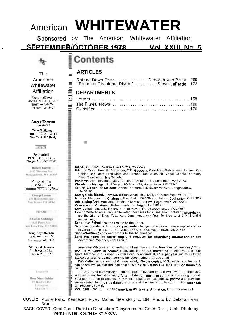### **WHITEWATER** American

Sponsored bv The American Whitewater Affiliation

#### **SEPTEMBER/OCTOBER 1978** Vol. XXIII, No. 5



 $\mathbf{r}$ 

#### The American Whitewater Affiliation

ExecutiveDirector JAMES C. SINDELAR East Side Dr. Concord. NH03301

#### **Board of Directors** President

Peter N. Skinner Rm  $4^{772}$ , #2 W II New York, NY 10047

#### 1976-78

Scott Arighi 19697 S. Falcon Drive Oregon City, OR 97045

**Robert Burrell** 1412 Western Ave. Morgantown, WV 26505.

O.K. Goodwin 1240 Mover Rd. **Newman** News, VA 23602

George Larven 456 Hawthorne Ave. San Bruno, CA 94066

#### 1977-80

J. Calvin Giddings 1425 Perry Ave. Salt Lake City, UT 84103-

Mary Kaye Hession

3304 Iowa, Apt. 5 Anchorage, AK 99503

Murray M. Johnson 310 Brockford Rd. Heflin, AL36264

Treasurer

Rose Mars Gabler 10 Boulder RA Lexington. MA 02173

### Contents

### **ARTICLES**

 $\mathcal{A}$ 

Ξ

| Rafting Down East Deborah Van Brunt 166       |  |
|-----------------------------------------------|--|
| "Protected" National Rivers?Steve LaPrade 172 |  |

### **DEPARTMENTS**

Editor: Bill Kirby, PO Box 541, Fairfax, VA 22031

- Editorial Committee: Ed Alexander, O.K. Goodwin, Rose Mary Gabler, Geo. Larsen, Ray Gabler. Bob Lantz. Fred Dietz, Joel Freund, Joe Bauer. Phil Vogel, Connie Thorburn, David Smallwood, Iris Sindelar
- Business Manager: Rose Mary Gabler, 10 Boulder Rd., Lexington, MA 02173
- Circulation Manager: Phil Vogel, PO Box 1483, Hagerstown, MD 21740
- KCCNY Circulation Liaison: Connie Thorburn. 105 Riverview Ave., Longmeadow, MA 01106

Safety Code Distribution: David Smallwood, Box 1261, Jefferson City, MO 65101 Midwest Membership Chairman: Fred Dietz, 1590 Sleepy Hollow, Coshocton, OH 43812 Advertising Chairman: Joel Freund, 440 Mission Blvd, Fayetteville, AR 72701

Conservation Chairman: Robert Lantz, Sunbright, TN 37872

Safety Chairman: O.K. Goodwin, 1240 Moyer Rd., Newport News, VA 23602

How to Write to American Whitewater: Deadlines for all material, including advertising, are the 25th of Dec., Feb., Apr., June, Aug., and Oct., for Nos. 1, 2, 3, 4, 5 and 6 respectively.

Send Race Schedules and results to the Editor.

Send membership subscription payments, changes of address, non-receipt of copies to Circulation manager, Phil Vogel, PO Box 1483, Hagerstown, MD 21740 Send advertising copy and proofs to the Ad Manager.

Send Payments for Advertising and requests for advertising information to the Advertising Manager, Joel Freund.

American Whitewater is mailed to all members of the **American** Whitewater Affiliation, an affiliation of boating clubs and individuals interested in whitewater paddle sport. Membership is open to interested individuals at \$7.00 per year and to clubs at \$11.00 per year. Club membership includes listing in the Journal.

Publication is planned at 6 times yearly. Single copies, 51.30 each. Surplus back copies are available at reduced prices. Write Geo. Larsen, P.O. Box 584, San Bruno, CA 94066.

The Staff and committee members listed above are unpaid Whitewater enthusiasts who volunteer their time and efforts to bring affiliate/member subscribers this journal. Your contribution of articles, letters, race results and schedules, photos and drawings are essential for their continued efforts and the timely publication of the American Whitewater Journal.

Vol. XXIII, No. 5 <sup>#</sup> 1978 American Whitewater Affiliation. All rights reserved.

COVER: Moxie Falls, Kennebec River, Maine. See story p. 164 Photo by Deborah Van Brunt.

BACK COVER: Coal Creek Rapid in Desolation Canyon on the Green River, Utah. Photo by Verne Huser, courtesy of ARCC.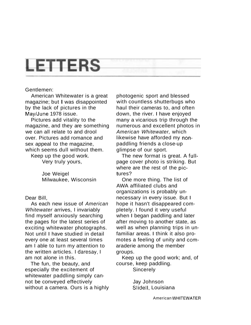### **LETTERS**

#### Gentlemen:

American Whitewater is a great magazine; but I was disappointed by the lack of pictures in the MaylJune 1978 issue.

Pictures add vitality to the magazine, and they are something we can all relate to and drool over. Pictures add romance and sex appeal to the magazine, which seems dull without them.

Keep up the good work. Very truly yours,

> Joe Weigel Milwaukee, Wisconsin

Dear Bill,

As each new issue of American Whitewater arrives, I invariably find myself anxiously searching the pages for the latest series of exciting whitewater photographs. Not until I have studied in detail every one at least several times am I able to turn my attention to the written articles. I daresay, I am not alone in this.

The fun, the beauty, and especially the excitement of whitewater paddling simply cannot be conveyed effectively without a camera. Ours is a highly photogenic sport and blessed with countless shutterbugs who haul their cameras to, and often down, the river. I have enjoyed many a vicarious trip through the numerous and excellent photos in American Whitewater, which likewise have afforded my nonpaddling friends a close-up glimpse of our sport.

The new format is great. A fullpage cover photo is striking. But where are the rest of the pictures?

One more thing. The list of AWA affiliated clubs and organizations is probably unnecessary in every issue. But I hope it hasn't disappeared completely. I found it very useful when I began paddling and later after moving to another state, as well as when planning trips in unfamiliar areas. I think it also promotes a feeling of unity and comaraderie among the member groups.

Keep up the good work; and, of course, keep paddling.

**Sincerely** 

Jay Johnson Slidell, Louisiana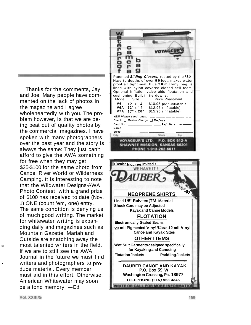Thanks for the comments, Jay and Joe. Many people have commented on the lack of photos in the magazine and I agree wholeheartedly with you. The problem however, is that we are being beat out of quality photos by the commercial magazines. I have spoken with many photographers over the past year and the story is always the same: They just can't afford to give the AWA something for free when they may get \$25-\$100 for the same photo from Canoe, River World or Wilderness Camping. It is interesting to note that the Wildwater Designs-AWA Photo Contest, with a grand prize of \$100 has received to date (Nov. 1) ONE (count 'em, one) entry. The same condition is denying us of much good writing. The market for whitewater writing is expanding daily and magazines such as Mountain Gazette, Mariah and Outside are snatching away the **Example 2 most talented writers in the field.** If we are to still see the AWA Journal in the future we must find writers and photographers to produce material. Every member must aid in this effort. Otherwise, American Whitewater may soon be a fond memory.  $-Ed$ .

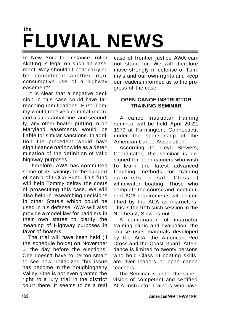### **the FLUVIAL NEWS**

In New York for instance, roller skating is legal on such an easement. Why shouldn't boat carrying be considered another nonconsumptive use of a highway easement?

It is clear that a negative decision in this case could have farreaching ramifications. First, Tommy would receive a criminal record and a substantial fine, and secondly, any other boater putting in on Maryland easements would be liable for similar sanctions. In addition the precedent would have significance nationwide as a determination of the definition of valid highway purposes.

Therefore, AWA has committed some of its savings to the support of non-profit CCA Fund. This fund will help Tommy defray the costs of prosecuting this case. We will also help in researching decisions in other State's which could be used in his defense. AWA will also provide a model law for paddlers in their own states to clarify the meaning of Highway purposes in favor of boaters.

The trial will have been held (if the schedule holds) on November 6, the day before the elections. One doesn't have to be too smart to see how politicized this issue has become in the Youghioghehy Valley. One is not even granted the right to a jury trial in the district court there. It seems to be a real

case of frontier justice AWA cannot stand for. We will therefore move strongly in defense of Tommy's and our own rights and keep our readers informed as to the progress of the case.

### **OPEN CANOE INSTRUCTOR TRAINING SEMINAR**

A canoe instructor training seminar will be held April 20-22, 1979 at Farmington, Connecticut under the sponsorship of the American Canoe Association.

According to Lloyd Siewers, Coordinator, the seminar is designed for open canoers who wish to learn the latest advanced teaching methods for training canoeists in safe Class II whitewater boating. Those who complete the course and meet current ACA requirements will be certified by the ACA as instructors. This is the fifth such session in the Northeast, Siewers noted.

A combination of instructor training clinic and evaluation, the course uses materials developed by the ACA, the American Red Cross and the Coast Guard. Attendance is limited to twenty persons who hold Class Ill boating skills, are river leaders or open canoe teachers.

The Seminar is under the supervision of competent and certified ACA Instructor Trainers who have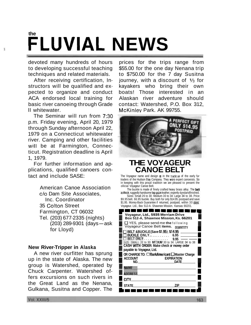### **the i FLUVIAL NEWS**

devoted many hundreds of hours to developing successful teaching techniques and related materials.

After receiving certification, Instructors will be qualified and expected to organize and conduct ACA endorsed local training for basic river canoeing through Grade II whitewater.

The Seminar will run from 7:30 p.m. Friday evening, April 20, 1979 through Sunday afternoon April 22, 1979 on a Connecticut whitewater river. Camping and other facilities will be at Farmington, Connecticut. Registration deadline is April 1, 1979.

For further information and applications, qualified canoers contact and include SASE:

> American Canoe Association c/o Dam Site Associates, Inc. Coordinator 35 Colton Street Farmington, CT 06032 Tel. (203) 677-2335 (nights) (203) 289-9301 (days-ask for Lloyd)

#### **New River-Tripper in Alaska**

A new river ourfitter has sprung up in the state of Alaska. The new group is Watershed, operated by Chuck Carpenter. Watershed offers excursions on such rivers in the Great Land as the Nenana, Gulkana, Susitna and Copper. The

prices for the trips range from \$55.00 for the one day Nenana trip to \$750.00 for the 7 day Susitna journey, with a discount of **1/3** for kayakers who bring their own boats! Those interested in an Alaskan river adventure should contact: Watershed, P.O. Box 312, McKinlev Park. AK 99755.



### **THE VOYAGEUR CANOE BEL**

The Voyageur name and design  $\equiv$  in the tradition of the early fur traders of the Hudson flay Company. They were expert canoeists. So in keeping with this proud tradition we are pleased to present the ollicial Voyageur Canoe Belt.

The buckle is made of finely crafted heavy brass alloy. The belt is thick, ruggedly handsome top grain leather, expertly dyedandfinished. Sizes: Small 26 to 30: Medium 30 to 34: Large 34 to 38. Price

\$9.95 belt. 66.95 buckle. Buy both for only \$14.95 postpaid and save \$1.95. Money-Back Guarantee if returned, postpaid, within 30 days.

| \$1.95. Money-Back Guarantee if returned, postpaid, within 30 days.<br>Voyageur. Ltd., Box 512-A. Shawnee Mission. Kansas 66201. |  |
|----------------------------------------------------------------------------------------------------------------------------------|--|
|                                                                                                                                  |  |
| Voyageur, Ltd., 5935 Merriam Drive<br>Box 512-A, Shawnee Mission, Ks. 66201                                                      |  |
| $\Box$ YES, please send me the following<br>Voyageur Canoe Belt items.<br>OUANTITY                                               |  |
| BELT &BUCKLE(Save \$1.95). \$14.95<br>BUCKLE ONLY 6.95                                                                           |  |
| 9.95<br>.<br>WALL 21 to 30: MEDIUM 30 to 34: LARGE 34 to 38<br>CASH WITH ORDER: Make check or money order                        |  |
| payable to Voyageur, Ltd.                                                                                                        |  |
| OR CHARGE TO: □ BankAmericard □ Master Charge                                                                                    |  |
| <b>ACCOUNT</b><br><b>EXPIRATION</b>                                                                                              |  |
| NO.<br>DATE                                                                                                                      |  |
|                                                                                                                                  |  |
|                                                                                                                                  |  |
| <b>CITY</b>                                                                                                                      |  |
| ZIP<br><b>STATE</b>                                                                                                              |  |
|                                                                                                                                  |  |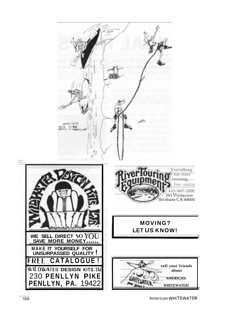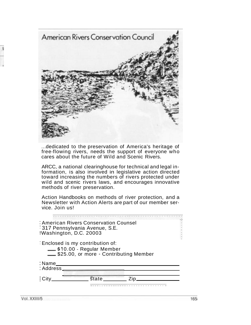

... dedicated to the preservation of America's heritage of free-flowing rivers, needs the support of everyone who cares about the future of Wild and Scenic Rivers.

ARCC, a national clearinghouse for technical and legal information, is also involved in legislative action directed toward increasing the numbers of rivers protected under wild and scenic rivers laws, and encourages innovative methods of river preservation.

Action Handbooks on methods of river protection, and a Newsletter with Action Alerts are part of our member service. Join us!

| American Rivers Conservation Counsel<br><sup>1</sup> 317 Pennsylvania Avenue, S.E.<br>!Washington, D.C. 20003 |                           |                                        |  |
|---------------------------------------------------------------------------------------------------------------|---------------------------|----------------------------------------|--|
| Enclosed is my contribution of:                                                                               | S10.00 - Regular Member   | \$25.00, or more - Contributing Member |  |
| : Name<br>: Address                                                                                           |                           |                                        |  |
|                                                                                                               | $\overline{\text{state}}$ |                                        |  |

Vol. XXIII/5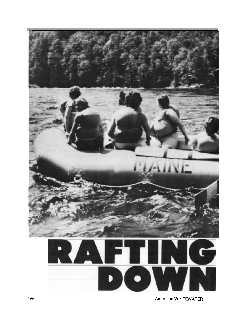

166 American WHITEWATER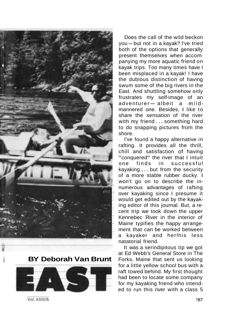

<sup>i</sup>! **BY Deborah Van Brunt** 



Does the call of the wild beckon you-but not in a kayak? I've tried both of the options that generally present themselves when accompanying my more aquatic friend on kayak trips. Too many times have I been misplaced in a kayak! I have the dubious distinction of having swum some of the big rivers in the East. And shuttling somehow only Last. And shutting somehow only<br>frustrates my self-image of an<br>adventurer – albeit a mildmannered one. Besides, I like to share the sensation of the river with my friend . . . something hard to do snapping pictures from the shore.

I've found a happy alternative in rafting. It provides all the thrill, chill and satisfaction of. having "conquered" the river that I intuit one finds in successful kayaking . . . but from the security of a more stable rubber ducky. I won't go on to describe the innumerous advantages of rafting over kayaking since I presume it would get edited out by the kayaking editor of this journal. But, a recent trip we took down the upper Kennebec River in the interior of Maine typifies the happy arrangement that can be worked between a kayaker and herlhis less natatorial friend.

It was a serindipitous tip we got at Ed Webb's General Store in The Forks, Maine that sent us looking for a little yellow school bus with a raft towed behind. My first thought had been to locate some company for my kayaking friend who intended to run this river with a class 5

Vol. XXIII/5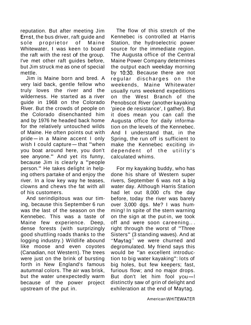reputation. But after meeting Jim Ernst, the bus driver, raft guide and sole proprietor of Maine Whitewater, I was keen to board the raft with the rest of the group. I've met other raft guides before, but Jim struck me as one of special mettle.

Jim is Maine born and bred. A very laid back, gentle fellow who truly loves the river and the wilderness. He started as a river guide in 1968 on the Colorado River. But the crowds of people on the Colorado disenchanted him and by 1976 he headed back home for the relatively untouched wilds of Maine. He often points out with of the relatively diffuscited whish<br>of Maine. He often points out with<br>pride—in a Maine accent I only or maine. He often points out with<br>pride-in a Maine accent I only<br>wish I could capture-that "when you boat around here, you don't see anyone." And yet its funny, because Jim is clearly a "people person." He takes delight in helping others partake of and enjoy the river. In a low key way he teases, clowns and chews the fat with all of his customers.

And serindipitous was our timing, because this September 6 run was the last of the season on the Kennebec. This was a taste of Maine few experience. Deep, dense forests (with surprizingly good shuttling roads thanks to the logging industry.) Wildlife abound like moose and even coyotes (Canadian, not Western). The trees were just on the brink of bursting forth in New England's famous autumnal colors. The air was brisk, but the water unexpectedly warm because of the power project upstream of the put in.

The flow of this stretch of the Kennebec is controlled at Harris Station, the hydroelectric power source for the immediate region. The Augusta office of the Central Maine Power Company determines the output each weekday morning by 10:30. Because there are not regular discharges on the weekends, Maine Whitewater usually runs weekend expeditions on the West Branch of the Penobscot River (another kayaking 'piece de resistance', I gather). But it does mean you can call the Augusta office for daily information on the levels of the Kennebec. And I understand that, in the Spring, the run off is sufficient to make the Kennebec exciting independent of the utility's calculated whims.

For my kayaking buddy, who has done his share of Western super rivers, September 6 was not a big water day. Although Harris Station had let out 8,000 cfs the day before, today the river was barely over 3,000 dgs. Me? I was humming! In spite of the stern warning on the sign at the put-in, we took off and were soon careening.. . right through the worst of "Three Sisters" (3 standing waves). And at "Maytag" we were churned and degromulated. My friend says this would be "an excellent introduction to big water kayaking": lots of big holes, but few keepers; fast, furious flow; and no major drops. But don't let him fool you-I distinctly saw of grin of delight and exhileration at the end of Maytag.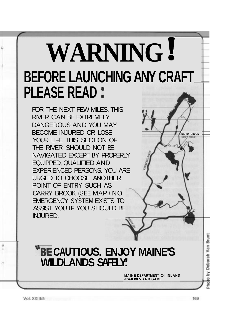# **WARNING** ! **BEFORE LAUNCHING ANY CRAFT PLEASE READ** :

FOR THE NEXT FEW MILES, THIS RIVER CAN BE EXTREMELY DANGEROUS AND YOU MAY BECOME INJURED OR LOSE YOUR LIFE. THIS SECTION OF THE RIVER SHOULD NOT BE NAVIGATED EXCEPT BY PROPERLY EQUIPPED, QUALIFIED AND EXPERIENCED PERSONS. YOU ARE URGED TO CHOOSE ANOTHER POINT OF ENTRY SUCH AS CARRY BROOK (SEE MAP **1** NO EMERGENCY SYSTEM EXISTS TO ASSIST YOU IF YOU SHOULD BE INJURED.

### **"BE CAUTIOUS. ENJOY MAINE'S WILDLANDS SAFELY!**

**MAINE DEPARTMENT Of INLAND FISMERIES AND GAME** 

Vol. XXIII/5

by Deborah Van Brunt

Photo

**CARRY BROOK**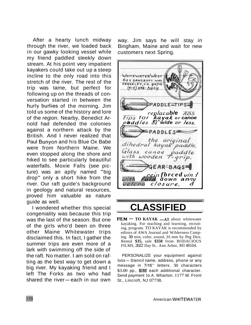After a hearty lunch midway through the river, we loaded back in our gawky looking vessel while my friend paddled sleekly down stream. At his point very impatient kayakers could take out up a steep incline to the only road into this stretch of the river. The rest of the trip was tame, but perfect for following up on the threads of conversation started in between the hurly burlies of the morning. Jim told us some of the history and lore of the region. Nearby, Benedict Arnold had defended the colonies against a northern attack by the British. And I never realized that Paul Bunyon and his Blue Ox Babe were from Northern Maine. We even stopped along the shore and hiked to see particularly beautiful waterfalls. Moxie Falls (see picture) was an aptly named "big drop" only a short hike from the river. Our raft guide's background in geology and natural resources, proved him valuable as nature guide as well.

I wondered whether this special congeniality was because this trip was the last of the season. But one of the girls who'd been on three other Maine Whitewater trips disclaimed this. In fact, I gather the summer trips are even more of a lark with swimming off the side of the raft. No matter. I am sold on rafting as the best way to get down a big river. My kayaking friend and I left The Forks as two who had big liver. My Kayaking mend and I<br>left The Forks as two who had<br>shared the river—each in our own way. Jim says he will stay in Bingham, Maine and wait for new customers next Spring.



### **CLASSIFIED**

 $FLM - TO KAYAK - All about whitewater$ kayaking. For teaching and learning, recruiting, program. TO KAYAK is recommended by editors of AWA Journal and Wilderness Camping. **33** min, color, sound, **16** mm by Peg Dice. Rental **\$35,** sale **\$350** from BODACIOUS FILMS, 2022 Day St.. Ann Arbor, MI 48104.

PERSONALIZE your equipment against loss-Stencil name, address, phone or any message in 7116" letters. 50 characters \$3.00 pp., **\$10** each additional character. Send payment to A. Wharton. 1177 W. Front St., Lincroft, NJ 07738.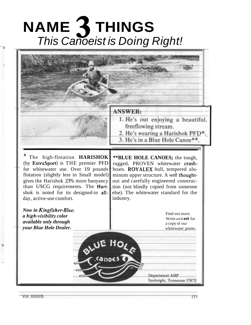# **NAME 3 THINGS**  This Canoeist is Doing Right!



Vol. XXIII/5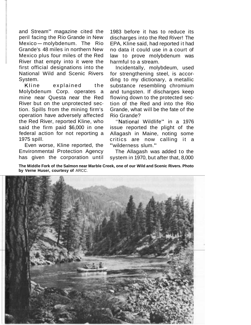and Stream" magazine cited the peril facing the Rio Grande in New and Stream Imagazine cited the<br>peril facing the Rio Grande in New<br>Mexico - molybdenum. The Rio Grande's 48 miles in northern New Mexico plus four miles of the Red River that empty into it were the first official designations into the National Wild and Scenic Rivers System.

Kline explained the Molybdenum Corp. operates a mine near Questa near the Red River but on the unprotected section. Spills from the mining firm's operation have adversely affected the Red River, reported Kline, who said the firm paid \$6,000 in one federal action for not reporting a 1975 spill.

Even worse, Kline reported, the Environmental Protection Agency has given the corporation until

1983 before it has to reduce its discharges into the Red River! The EPA, Kline said, had reported it had no data it could use in a court of law to prove molybdenum was harmful to a stream.

Incidentally, molybdeum, used for strengthening steel, is according to my dictionary, a metallic substance resembling chromium and tungsten. If discharges keep flowing down to the protected section of the Red and into the Rio Grande, what will be the fate of the Rio Grande?

"National Wildlife" in a 1976 issue reported the plight of the Allagash in Maine, noting some critics are now calling it a "wilderness slum."

The Allagash was added to the system in 1970, but after that, 8,000

**The Middle Fork of the Salmon near Marble Creek, one of our Wild and Scenic Rivers. Photo by Verne Huser, courtesy of** ARCC.

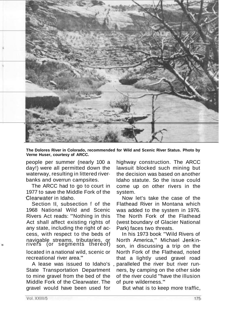

**The Dolores River in Colorado, recommended for Wild and Scenic River Status. Photo by Verne Huser, courtesy of ARCC.** 

people per summer (nearly 100 a day!) were all permitted down the waterway, resulting in littered riverbanks and overrun campsites.

The ARCC had to go to court in 1977 to save the Middle Fork of the Clearwater in Idaho.

Section II, subsection f of the 1968 National Wild and Scenic Rivers Act reads: "Nothing in this Act shall affect existing rights of any state, including the right of access, with respect to the beds of navigable streams, tributaries, or **krivers** (or segments thereof)

located in a national wild, scenic or recreational river area."

A lease was issued to Idaho's State Transportation Department to mine gravel from the bed of the Middle Fork of the Clearwater. The gravel would have been used for

highway construction. The ARCC lawsuit blocked such mining but the decision was based on another Idaho statute. So the issue could come up on other rivers in the system.

Now let's take the case of the Flathead River in Montana which was added to the system in 1976. The North Fork of the Flathead (west boundary of Glacier National Park) faces two threats.

In his 1973 book "Wild Rivers of North America," Michael Jenkinson, in discussing a trip on the North Fork of the Flathead, noted that a lightly used gravel road paralleled the river but river runners, by camping on the other side of the river could "have the illusion of pure wilderness."

But what is to keep more traffic,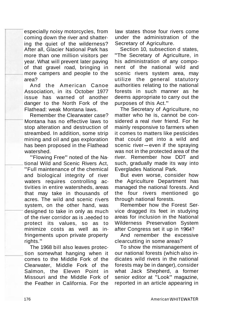especially noisy motorcycles, from coming down the river and shattering the quiet of the wilderness? After all, Glacier National Park has more than one million visitors per year. What will prevent later paving of that gravel road, bringing in more campers and people to the area?

And the American Canoe Association, in its October 1977 issue has warned of another danger to the North Fork of the Flathead: weak Montana laws.

Remember the Clearwater case? Montana has no effective laws to stop alteration and destruction of streambed. In addition, some strip mining and oil and gas exploration has been proposed in the Flathead watershed.

"Flowing Free" noted of the National Wild and Scenic Rivers Act, "Full maintenance of the chemical and biological integrity of river waters requires controlling activities in entire watersheds, areas that may take in thousands of acres. The wild and scenic rivers system, on the other hand, was designed to take in only as much of the river corridor as is ,ieeded to protect its values, so as to minimize costs as well as infringements upon private property rights."

The 1968 bill also leaves protection somewhat hanging when it comes to the Middle Fork of the Clearwater, Middle Fork of the Salmon, the Eleven Point in Missouri and the Middle Fork of the Feather in California. For the

law states those four rivers come under the administration of the Secretary of Agriculture.

Section 10, subsection d states, "The Secretary of Agriculture, in his administration of any component of the national wild and scenic rivers system area, may utilize the general statutory authorities relating to the national forests in such manner as he deems appropriate to carry out the purposes of this Act."

The Secretary of Agriculture, no matter who he is, cannot be considered a real river friend. For he mainly responsive to farmers when it comes to matters like pesticides that could get into a wild and It comes to matters like pesticlies<br>that could get into a wild and<br>scenic river—even if the spraying was not in the protected area of the river. Remember how DDT and such, gradually made its way into Everglades National Park.

But even worse, consider how the Agriculture Department has managed the national forests. And the four rivers mentioned go through national forests.

Remember how the Forest Service dragged its feet in studying areas for inclusion in the National Wilderness Preservation System after Congress set it up in 1964?

And remember the excessive clearcutting in some areas?

To show the mismanagement of our national forests (which also indicates wild rivers in the national forests may be in danger), consider what Jack Shepherd, a former senior editor at "Look" magazine, reported in an article appearing in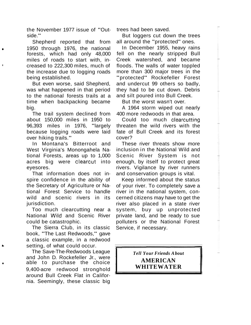the November 1977 issue of "Outside."

Shepherd reported that from 1950 through 1976, the national forests, which had only 48,000 miles of roads to start with, in creased to 222,300 miles, much of the increase due to logging roads being established.

But even worse, said Shepherd, was what happened in that period to the national forests trails at a time when backpacking became big.

The trail system declined from about 150,000 miles in 1950 to 96,393 miles in 1976, "largely because logging roads were laid over hiking trails."

In Montana's Bitterroot and West Virginia's Monongahela National Forests, areas up to 1,000 acres big were clearcut into eyesores.

That information does not inspire confidence in the ability of the Secretary of Agriculture or National Forest Service to handle wild and scenic rivers in its jurisdiction.

Too much clearcutting near a National Wild and Scenic River could be catastrophic.

The Sierra Club, in its classic book, "The Last Redwoods," gave a classic example, in a redwood **<sup>e</sup>**setting, of what could occur.

The Save-The-Redwoods League and John D. Rockefeller Jr., were able to purchase the choice 9,400-acre redwood stronghold around Bull Creek Flat in California. Seemingly, these classic big

trees had been saved.

But loggers cut down the trees all around the "protected" ones.

In December 1955, heavy rains fell on the nearly stripped Bull Creek watershed, and became floods. The walls of water toppled more than 300 major trees in the "protected" Rockefeller Forest and undercut 99 others so badly, they had to be cut down. Debris and silt poured into Bull Creek.

But the worst wasn't over.

A 1964 storm wiped out nearly 400 more redwoods in that area.

Could too much clearcutting threaten the wild rivers with the fate of Bull Creek and its forest cover?

These river threats show more inclusion in the National Wild and Scenic River System is not enough, by itself to protect great rivers. Vigilance by river runners and conservation groups is vital.

Keep informed about the status of your river. To completely save a river in the national system, concerned citizens may have to get the river also placed in a state river system, buy up unprotected private land, and be ready to sue polluters or the National Forest Service, if necessary.

> *Tell Your Friends A bout* **AMERICAN WHITEWATER**

I